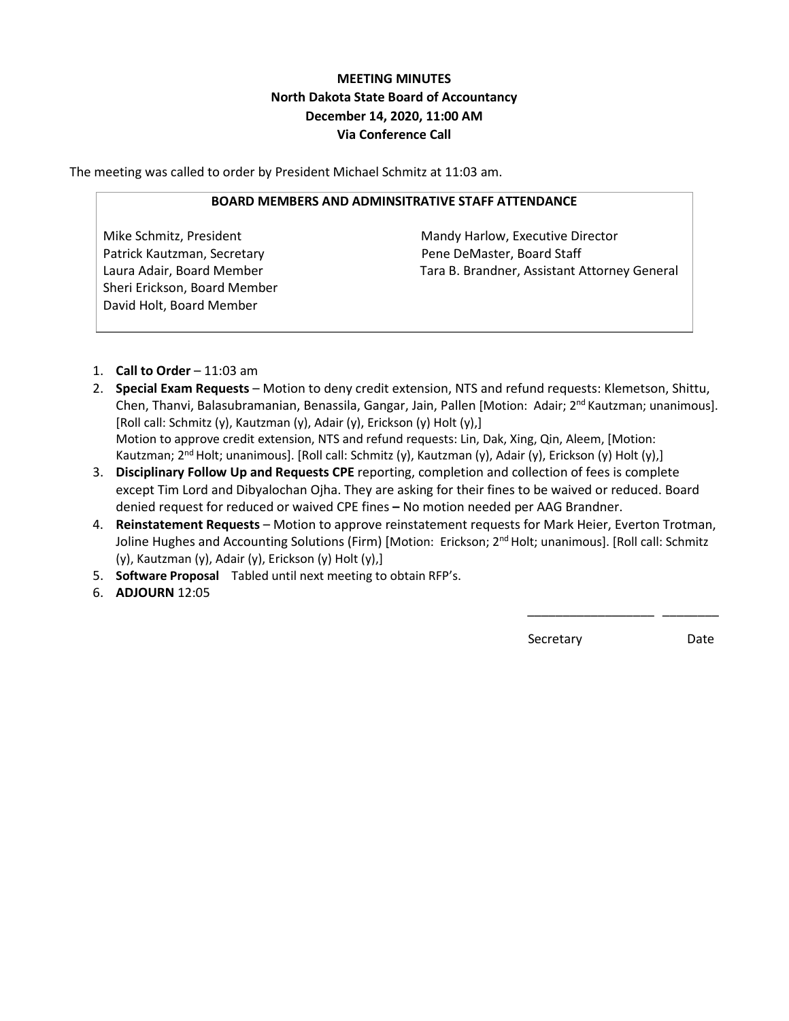# **MEETING MINUTES North Dakota State Board of Accountancy December 14, 2020, 11:00 AM Via Conference Call**

The meeting was called to order by President Michael Schmitz at 11:03 am.

#### **BOARD MEMBERS AND ADMINSITRATIVE STAFF ATTENDANCE**

Patrick Kautzman, Secretary **Pene DeMaster, Board Staff** Sheri Erickson, Board Member David Holt, Board Member

Mike Schmitz, President Mandy Harlow, Executive Director Laura Adair, Board Member Tara B. Brandner, Assistant Attorney General

- 1. **Call to Order** 11:03 am
- 2. **Special Exam Requests** Motion to deny credit extension, NTS and refund requests: Klemetson, Shittu, Chen, Thanvi, Balasubramanian, Benassila, Gangar, Jain, Pallen [Motion: Adair; 2nd Kautzman; unanimous]. [Roll call: Schmitz (y), Kautzman (y), Adair (y), Erickson (y) Holt (y),] Motion to approve credit extension, NTS and refund requests: Lin, Dak, Xing, Qin, Aleem, [Motion: Kautzman; 2<sup>nd</sup> Holt; unanimous]. [Roll call: Schmitz (y), Kautzman (y), Adair (y), Erickson (y) Holt (y),]
- 3. **Disciplinary Follow Up and Requests CPE** reporting, completion and collection of fees is complete except Tim Lord and Dibyalochan Ojha. They are asking for their fines to be waived or reduced. Board denied request for reduced or waived CPE fines **–** No motion needed per AAG Brandner.
- 4. **Reinstatement Requests** Motion to approve reinstatement requests for Mark Heier, Everton Trotman, Joline Hughes and Accounting Solutions (Firm) [Motion: Erickson; 2<sup>nd</sup> Holt; unanimous]. [Roll call: Schmitz (y), Kautzman (y), Adair (y), Erickson (y) Holt (y),]

 $\frac{1}{2}$  , and the contract of the contract of the contract of the contract of the contract of the contract of the contract of the contract of the contract of the contract of the contract of the contract of the contract

- 5. **Software Proposal** Tabled until next meeting to obtain RFP's.
- 6. **ADJOURN** 12:05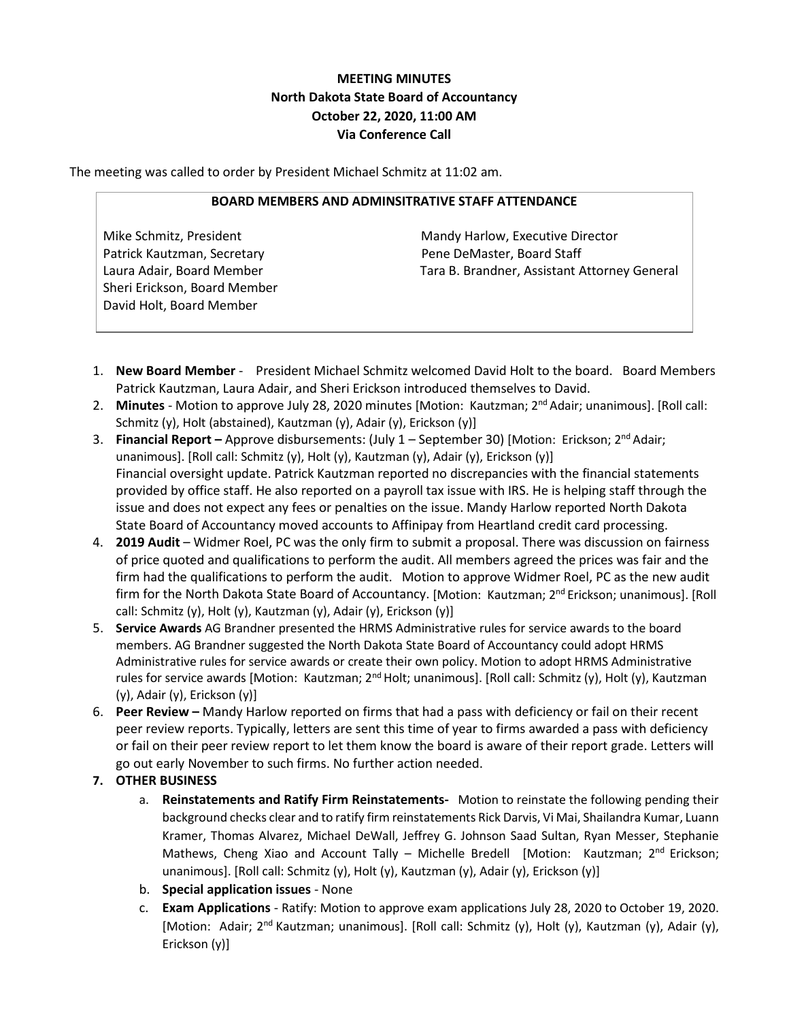# **MEETING MINUTES North Dakota State Board of Accountancy October 22, 2020, 11:00 AM Via Conference Call**

The meeting was called to order by President Michael Schmitz at 11:02 am.

### **BOARD MEMBERS AND ADMINSITRATIVE STAFF ATTENDANCE**

Patrick Kautzman, Secretary **Pene DeMaster, Board Staff** Sheri Erickson, Board Member David Holt, Board Member

Mike Schmitz, President Mandy Harlow, Executive Director Laura Adair, Board Member Tara B. Brandner, Assistant Attorney General

- 1. **New Board Member** President Michael Schmitz welcomed David Holt to the board. Board Members Patrick Kautzman, Laura Adair, and Sheri Erickson introduced themselves to David.
- 2. Minutes Motion to approve July 28, 2020 minutes [Motion: Kautzman; 2<sup>nd</sup> Adair; unanimous]. [Roll call: Schmitz (y), Holt (abstained), Kautzman (y), Adair (y), Erickson (y)]
- 3. **Financial Report –** Approve disbursements: (July 1 September 30) [Motion: Erickson; 2nd Adair; unanimous]. [Roll call: Schmitz (y), Holt (y), Kautzman (y), Adair (y), Erickson (y)] Financial oversight update. Patrick Kautzman reported no discrepancies with the financial statements provided by office staff. He also reported on a payroll tax issue with IRS. He is helping staff through the issue and does not expect any fees or penalties on the issue. Mandy Harlow reported North Dakota State Board of Accountancy moved accounts to Affinipay from Heartland credit card processing.
- 4. **2019 Audit** Widmer Roel, PC was the only firm to submit a proposal. There was discussion on fairness of price quoted and qualifications to perform the audit. All members agreed the prices was fair and the firm had the qualifications to perform the audit. Motion to approve Widmer Roel, PC as the new audit firm for the North Dakota State Board of Accountancy. [Motion: Kautzman; 2<sup>nd</sup> Erickson; unanimous]. [Roll call: Schmitz (y), Holt (y), Kautzman (y), Adair (y), Erickson (y)]
- 5. **Service Awards** AG Brandner presented the HRMS Administrative rules for service awards to the board members. AG Brandner suggested the North Dakota State Board of Accountancy could adopt HRMS Administrative rules for service awards or create their own policy. Motion to adopt HRMS Administrative rules for service awards [Motion: Kautzman; 2nd Holt; unanimous]. [Roll call: Schmitz (y), Holt (y), Kautzman (y), Adair (y), Erickson (y)]
- 6. **Peer Review –** Mandy Harlow reported on firms that had a pass with deficiency or fail on their recent peer review reports. Typically, letters are sent this time of year to firms awarded a pass with deficiency or fail on their peer review report to let them know the board is aware of their report grade. Letters will go out early November to such firms. No further action needed.
- **7. OTHER BUSINESS**
	- a. **Reinstatements and Ratify Firm Reinstatements-** Motion to reinstate the following pending their background checks clear and to ratify firm reinstatements Rick Darvis, Vi Mai, Shailandra Kumar, Luann Kramer, Thomas Alvarez, Michael DeWall, Jeffrey G. Johnson Saad Sultan, Ryan Messer, Stephanie Mathews, Cheng Xiao and Account Tally – Michelle Bredell [Motion: Kautzman; 2<sup>nd</sup> Erickson; unanimous]. [Roll call: Schmitz (y), Holt (y), Kautzman (y), Adair (y), Erickson (y)]
	- b. **Special application issues** None
	- c. **Exam Applications** Ratify: Motion to approve exam applications July 28, 2020 to October 19, 2020. [Motion: Adair; 2<sup>nd</sup> Kautzman; unanimous]. [Roll call: Schmitz (y), Holt (y), Kautzman (y), Adair (y), Erickson (y)]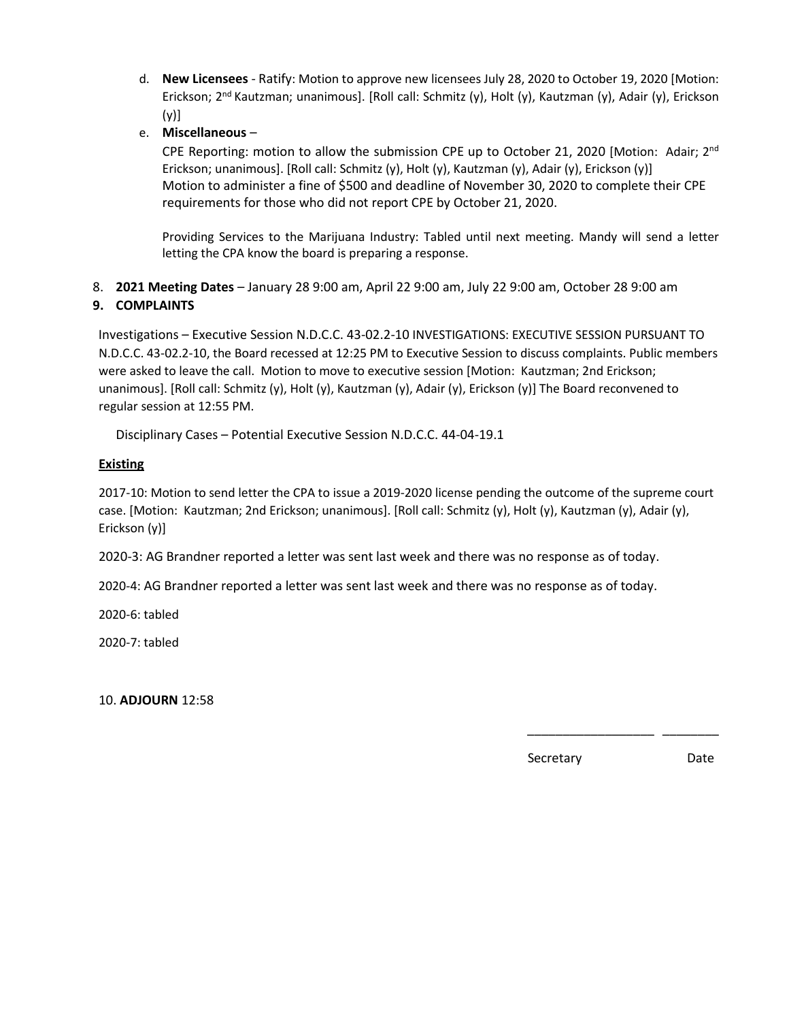- d. **New Licensees** Ratify: Motion to approve new licensees July 28, 2020 to October 19, 2020 [Motion: Erickson; 2nd Kautzman; unanimous]. [Roll call: Schmitz (y), Holt (y), Kautzman (y), Adair (y), Erickson  $(y)$ ]
- e. **Miscellaneous** –

CPE Reporting: motion to allow the submission CPE up to October 21, 2020 [Motion: Adair; 2<sup>nd</sup> Erickson; unanimous]. [Roll call: Schmitz (y), Holt (y), Kautzman (y), Adair (y), Erickson (y)] Motion to administer a fine of \$500 and deadline of November 30, 2020 to complete their CPE requirements for those who did not report CPE by October 21, 2020.

Providing Services to the Marijuana Industry: Tabled until next meeting. Mandy will send a letter letting the CPA know the board is preparing a response.

8. **2021 Meeting Dates** – January 28 9:00 am, April 22 9:00 am, July 22 9:00 am, October 28 9:00 am

### **9. COMPLAINTS**

Investigations – Executive Session N.D.C.C. 43-02.2-10 INVESTIGATIONS: EXECUTIVE SESSION PURSUANT TO N.D.C.C. 43-02.2-10, the Board recessed at 12:25 PM to Executive Session to discuss complaints. Public members were asked to leave the call. Motion to move to executive session [Motion: Kautzman; 2nd Erickson; unanimous]. [Roll call: Schmitz (y), Holt (y), Kautzman (y), Adair (y), Erickson (y)] The Board reconvened to regular session at 12:55 PM.

Disciplinary Cases – Potential Executive Session N.D.C.C. 44-04-19.1

### **Existing**

2017-10: Motion to send letter the CPA to issue a 2019-2020 license pending the outcome of the supreme court case. [Motion: Kautzman; 2nd Erickson; unanimous]. [Roll call: Schmitz (y), Holt (y), Kautzman (y), Adair (y), Erickson (y)]

 $\overline{\phantom{a}}$  , which is a set of the contract of the contract of the contract of the contract of the contract of the contract of the contract of the contract of the contract of the contract of the contract of the contract

2020-3: AG Brandner reported a letter was sent last week and there was no response as of today.

2020-4: AG Brandner reported a letter was sent last week and there was no response as of today.

2020-6: tabled

2020-7: tabled

10. **ADJOURN** 12:58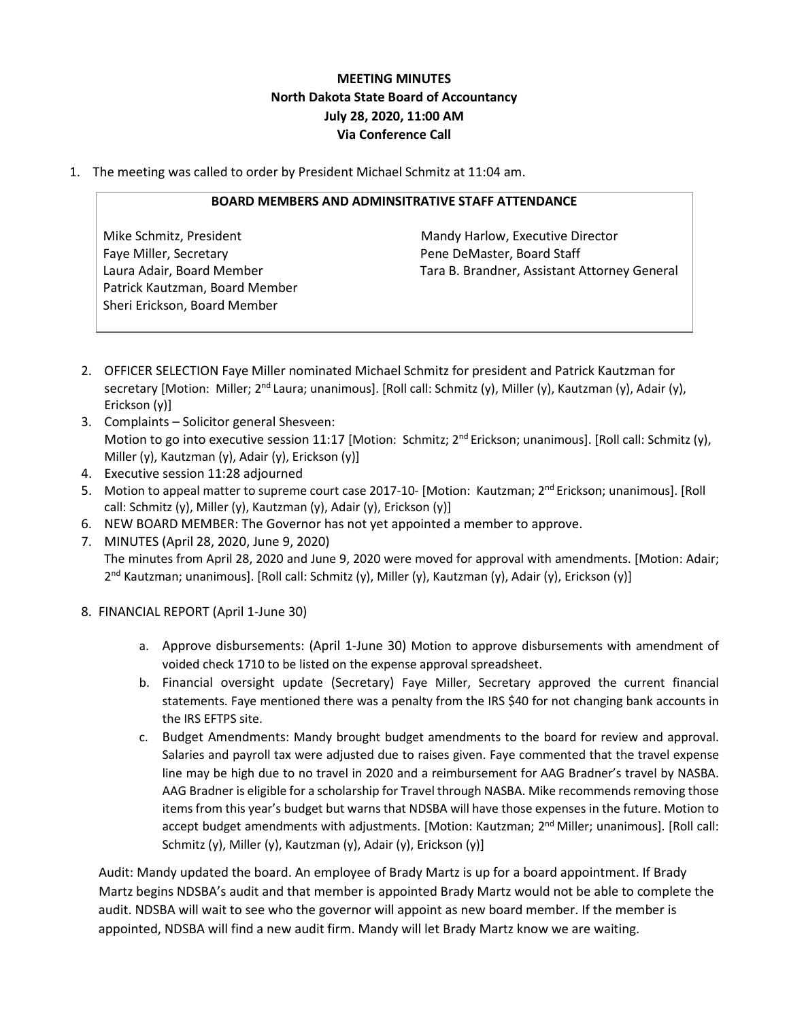# **MEETING MINUTES North Dakota State Board of Accountancy July 28, 2020, 11:00 AM Via Conference Call**

1. The meeting was called to order by President Michael Schmitz at 11:04 am.

### **BOARD MEMBERS AND ADMINSITRATIVE STAFF ATTENDANCE**

Faye Miller, Secretary **Pene DeMaster, Board Staff** Patrick Kautzman, Board Member Sheri Erickson, Board Member

Mike Schmitz, President Mandy Harlow, Executive Director Laura Adair, Board Member Tara B. Brandner, Assistant Attorney General

- 2. OFFICER SELECTION Faye Miller nominated Michael Schmitz for president and Patrick Kautzman for secretary [Motion: Miller; 2<sup>nd</sup> Laura; unanimous]. [Roll call: Schmitz (y), Miller (y), Kautzman (y), Adair (y), Erickson (y)]
- 3. Complaints Solicitor general Shesveen: Motion to go into executive session 11:17 [Motion: Schmitz; 2<sup>nd</sup> Erickson; unanimous]. [Roll call: Schmitz (y), Miller (y), Kautzman (y), Adair (y), Erickson (y)]
- 4. Executive session 11:28 adjourned
- 5. Motion to appeal matter to supreme court case 2017-10- [Motion: Kautzman; 2nd Erickson; unanimous]. [Roll call: Schmitz (y), Miller (y), Kautzman (y), Adair (y), Erickson (y)]
- 6. NEW BOARD MEMBER: The Governor has not yet appointed a member to approve.
- 7. MINUTES (April 28, 2020, June 9, 2020) The minutes from April 28, 2020 and June 9, 2020 were moved for approval with amendments. [Motion: Adair; 2<sup>nd</sup> Kautzman; unanimous]. [Roll call: Schmitz (y), Miller (y), Kautzman (y), Adair (y), Erickson (y)]
- 8. FINANCIAL REPORT (April 1-June 30)
	- a. Approve disbursements: (April 1-June 30) Motion to approve disbursements with amendment of voided check 1710 to be listed on the expense approval spreadsheet.
	- b. Financial oversight update (Secretary) Faye Miller, Secretary approved the current financial statements. Faye mentioned there was a penalty from the IRS \$40 for not changing bank accounts in the IRS EFTPS site.
	- c. Budget Amendments: Mandy brought budget amendments to the board for review and approval. Salaries and payroll tax were adjusted due to raises given. Faye commented that the travel expense line may be high due to no travel in 2020 and a reimbursement for AAG Bradner's travel by NASBA. AAG Bradner is eligible for a scholarship for Travel through NASBA. Mike recommends removing those items from this year's budget but warns that NDSBA will have those expenses in the future. Motion to accept budget amendments with adjustments. [Motion: Kautzman; 2<sup>nd</sup> Miller; unanimous]. [Roll call: Schmitz (y), Miller (y), Kautzman (y), Adair (y), Erickson (y)]

Audit: Mandy updated the board. An employee of Brady Martz is up for a board appointment. If Brady Martz begins NDSBA's audit and that member is appointed Brady Martz would not be able to complete the audit. NDSBA will wait to see who the governor will appoint as new board member. If the member is appointed, NDSBA will find a new audit firm. Mandy will let Brady Martz know we are waiting.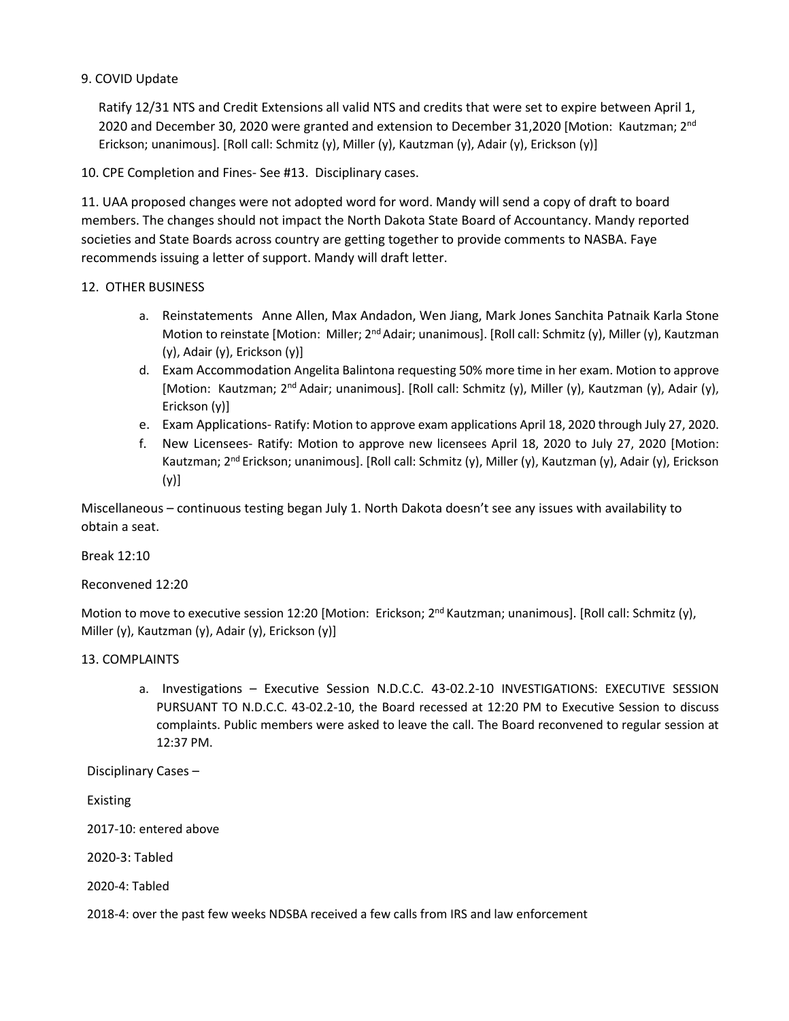### 9. COVID Update

Ratify 12/31 NTS and Credit Extensions all valid NTS and credits that were set to expire between April 1, 2020 and December 30, 2020 were granted and extension to December 31,2020 [Motion: Kautzman; 2<sup>nd</sup> Erickson; unanimous]. [Roll call: Schmitz (y), Miller (y), Kautzman (y), Adair (y), Erickson (y)]

10. CPE Completion and Fines- See #13. Disciplinary cases.

11. UAA proposed changes were not adopted word for word. Mandy will send a copy of draft to board members. The changes should not impact the North Dakota State Board of Accountancy. Mandy reported societies and State Boards across country are getting together to provide comments to NASBA. Faye recommends issuing a letter of support. Mandy will draft letter.

### 12. OTHER BUSINESS

- a. Reinstatements Anne Allen, Max Andadon, Wen Jiang, Mark Jones Sanchita Patnaik Karla Stone Motion to reinstate [Motion: Miller; 2<sup>nd</sup> Adair; unanimous]. [Roll call: Schmitz (y), Miller (y), Kautzman (y), Adair (y), Erickson (y)]
- d. Exam Accommodation Angelita Balintona requesting 50% more time in her exam. Motion to approve [Motion: Kautzman; 2nd Adair; unanimous]. [Roll call: Schmitz (y), Miller (y), Kautzman (y), Adair (y), Erickson (y)]
- e. Exam Applications- Ratify: Motion to approve exam applications April 18, 2020 through July 27, 2020.
- f. New Licensees- Ratify: Motion to approve new licensees April 18, 2020 to July 27, 2020 [Motion: Kautzman; 2<sup>nd</sup> Erickson; unanimous]. [Roll call: Schmitz (y), Miller (y), Kautzman (y), Adair (y), Erickson (y)]

Miscellaneous – continuous testing began July 1. North Dakota doesn't see any issues with availability to obtain a seat.

### Break 12:10

Reconvened 12:20

Motion to move to executive session 12:20 [Motion: Erickson; 2<sup>nd</sup> Kautzman; unanimous]. [Roll call: Schmitz (y), Miller (y), Kautzman (y), Adair (y), Erickson (y)]

### 13. COMPLAINTS

a. Investigations – Executive Session N.D.C.C. 43-02.2-10 INVESTIGATIONS: EXECUTIVE SESSION PURSUANT TO N.D.C.C. 43-02.2-10, the Board recessed at 12:20 PM to Executive Session to discuss complaints. Public members were asked to leave the call. The Board reconvened to regular session at 12:37 PM.

Disciplinary Cases –

Existing

2017-10: entered above

2020-3: Tabled

2020-4: Tabled

2018-4: over the past few weeks NDSBA received a few calls from IRS and law enforcement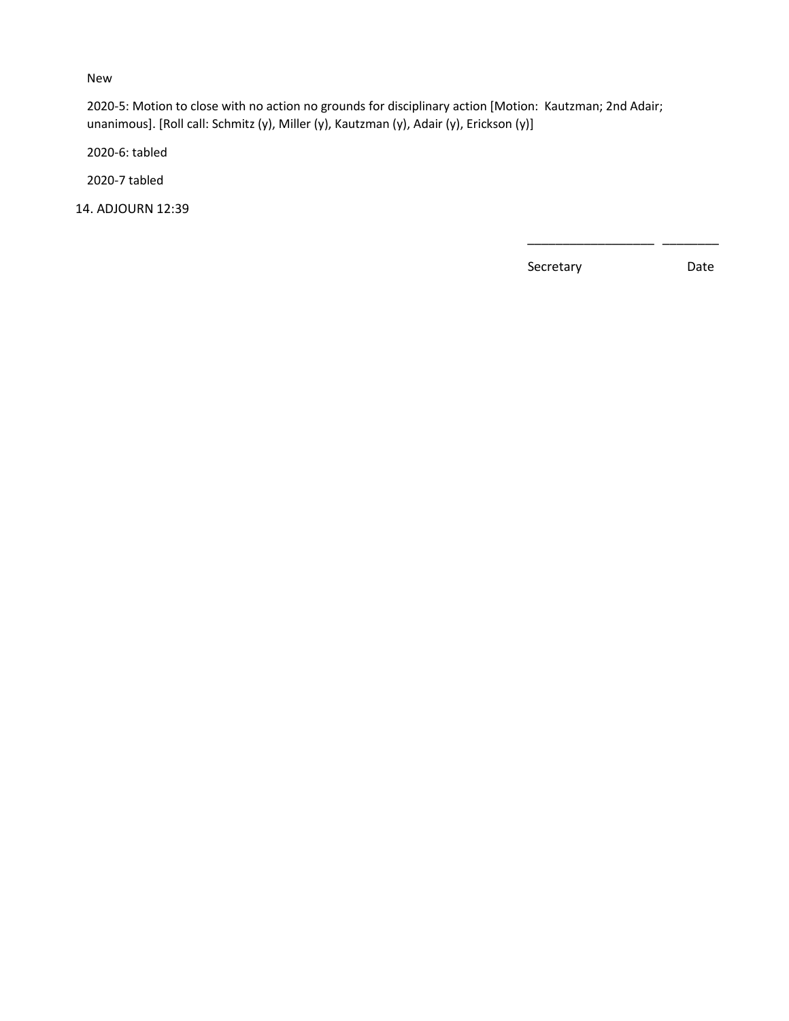### New

2020-5: Motion to close with no action no grounds for disciplinary action [Motion: Kautzman; 2nd Adair; unanimous]. [Roll call: Schmitz (y), Miller (y), Kautzman (y), Adair (y), Erickson (y)]

 $\frac{1}{2}$  , and the contract of the contract of the contract of the contract of the contract of the contract of the contract of the contract of the contract of the contract of the contract of the contract of the contract

2020-6: tabled

2020-7 tabled

14. ADJOURN 12:39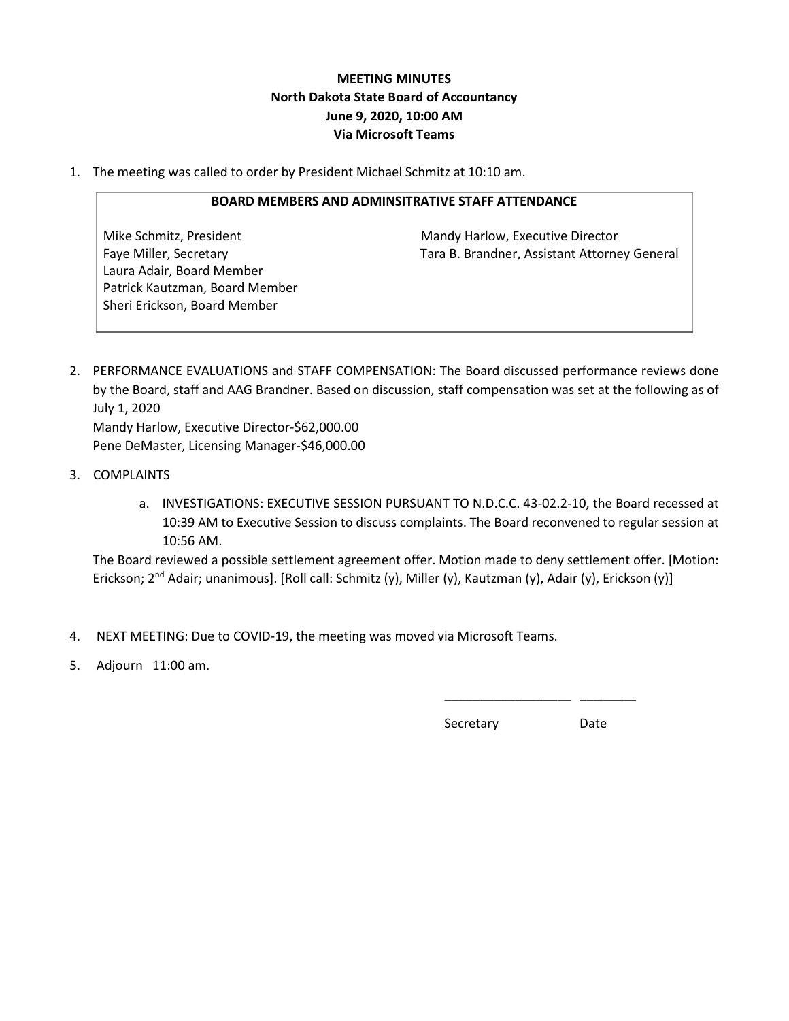# **MEETING MINUTES North Dakota State Board of Accountancy June 9, 2020, 10:00 AM Via Microsoft Teams**

1. The meeting was called to order by President Michael Schmitz at 10:10 am.

### **BOARD MEMBERS AND ADMINSITRATIVE STAFF ATTENDANCE**

Laura Adair, Board Member Patrick Kautzman, Board Member Sheri Erickson, Board Member

Mike Schmitz, President Mandy Harlow, Executive Director Faye Miller, Secretary Tara B. Brandner, Assistant Attorney General

- 2. PERFORMANCE EVALUATIONS and STAFF COMPENSATION: The Board discussed performance reviews done by the Board, staff and AAG Brandner. Based on discussion, staff compensation was set at the following as of July 1, 2020 Mandy Harlow, Executive Director-\$62,000.00 Pene DeMaster, Licensing Manager-\$46,000.00
- 3. COMPLAINTS
	- a. INVESTIGATIONS: EXECUTIVE SESSION PURSUANT TO N.D.C.C. 43-02.2-10, the Board recessed at 10:39 AM to Executive Session to discuss complaints. The Board reconvened to regular session at 10:56 AM.

The Board reviewed a possible settlement agreement offer. Motion made to deny settlement offer. [Motion: Erickson; 2<sup>nd</sup> Adair; unanimous]. [Roll call: Schmitz (y), Miller (y), Kautzman (y), Adair (y), Erickson (y)]

4. NEXT MEETING: Due to COVID-19, the meeting was moved via Microsoft Teams.

 $\frac{1}{2}$  , and the contract of the contract of the contract of the contract of the contract of the contract of the contract of the contract of the contract of the contract of the contract of the contract of the contract

5. Adjourn 11:00 am.

**Secretary** Date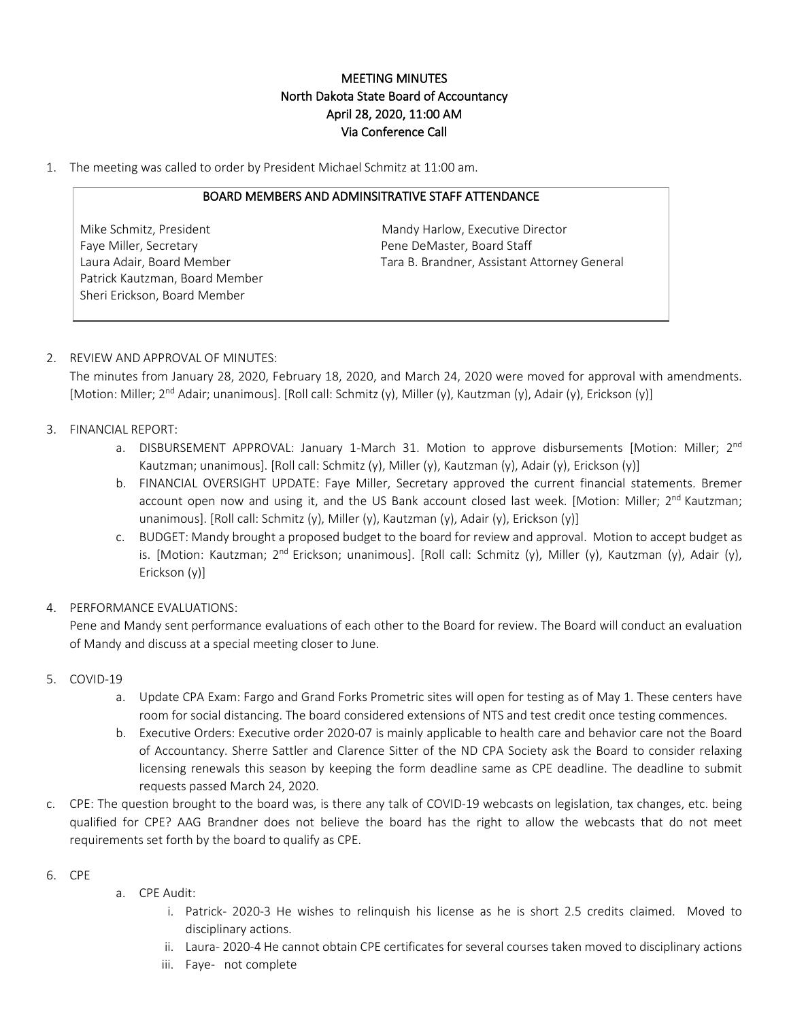## MEETING MINUTES North Dakota State Board of Accountancy April 28, 2020, 11:00 AM Via Conference Call

1. The meeting was called to order by President Michael Schmitz at 11:00 am.

#### BOARD MEMBERS AND ADMINSITRATIVE STAFF ATTENDANCE

Faye Miller, Secretary **Pene DeMaster, Board Staff** Patrick Kautzman, Board Member Sheri Erickson, Board Member

Mike Schmitz, President Mandy Harlow, Executive Director Laura Adair, Board Member Tara B. Brandner, Assistant Attorney General

### 2. REVIEW AND APPROVAL OF MINUTES:

The minutes from January 28, 2020, February 18, 2020, and March 24, 2020 were moved for approval with amendments. [Motion: Miller; 2<sup>nd</sup> Adair; unanimous]. [Roll call: Schmitz (y), Miller (y), Kautzman (y), Adair (y), Erickson (y)]

### 3. FINANCIAL REPORT:

- a. DISBURSEMENT APPROVAL: January 1-March 31. Motion to approve disbursements [Motion: Miller; 2<sup>nd</sup> Kautzman; unanimous]. [Roll call: Schmitz (y), Miller (y), Kautzman (y), Adair (y), Erickson (y)]
- b. FINANCIAL OVERSIGHT UPDATE: Faye Miller, Secretary approved the current financial statements. Bremer account open now and using it, and the US Bank account closed last week. [Motion: Miller; 2<sup>nd</sup> Kautzman; unanimous]. [Roll call: Schmitz (y), Miller (y), Kautzman (y), Adair (y), Erickson (y)]
- c. BUDGET: Mandy brought a proposed budget to the board for review and approval. Motion to accept budget as is. [Motion: Kautzman; 2<sup>nd</sup> Erickson; unanimous]. [Roll call: Schmitz (y), Miller (y), Kautzman (y), Adair (y), Erickson (y)]
- 4. PERFORMANCE EVALUATIONS:

Pene and Mandy sent performance evaluations of each other to the Board for review. The Board will conduct an evaluation of Mandy and discuss at a special meeting closer to June.

- 5. COVID-19
	- a. Update CPA Exam: Fargo and Grand Forks Prometric sites will open for testing as of May 1. These centers have room for social distancing. The board considered extensions of NTS and test credit once testing commences.
	- b. Executive Orders: Executive order 2020-07 is mainly applicable to health care and behavior care not the Board of Accountancy. Sherre Sattler and Clarence Sitter of the ND CPA Society ask the Board to consider relaxing licensing renewals this season by keeping the form deadline same as CPE deadline. The deadline to submit requests passed March 24, 2020.
- c. CPE: The question brought to the board was, is there any talk of COVID-19 webcasts on legislation, tax changes, etc. being qualified for CPE? AAG Brandner does not believe the board has the right to allow the webcasts that do not meet requirements set forth by the board to qualify as CPE.

### 6. CPE

- a. CPE Audit:
	- i. Patrick- 2020-3 He wishes to relinquish his license as he is short 2.5 credits claimed. Moved to disciplinary actions.
	- ii. Laura- 2020-4 He cannot obtain CPE certificates for several courses taken moved to disciplinary actions
	- iii. Faye- not complete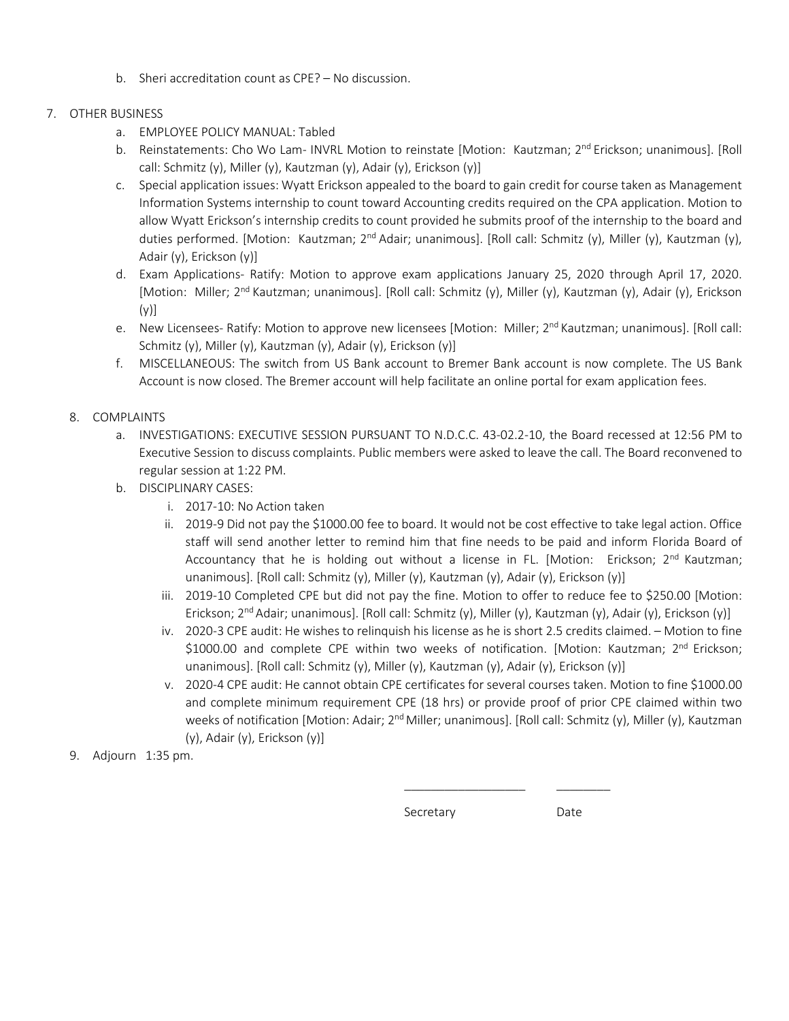b. Sheri accreditation count as CPE? – No discussion.

### 7. OTHER BUSINESS

- a. EMPLOYEE POLICY MANUAL: Tabled
- b. Reinstatements: Cho Wo Lam- INVRL Motion to reinstate [Motion: Kautzman; 2<sup>nd</sup> Erickson; unanimous]. [Roll call: Schmitz (y), Miller (y), Kautzman (y), Adair (y), Erickson (y)]
- c. Special application issues: Wyatt Erickson appealed to the board to gain credit for course taken as Management Information Systems internship to count toward Accounting credits required on the CPA application. Motion to allow Wyatt Erickson's internship credits to count provided he submits proof of the internship to the board and duties performed. [Motion: Kautzman; 2<sup>nd</sup> Adair; unanimous]. [Roll call: Schmitz (y), Miller (y), Kautzman (y), Adair (y), Erickson (y)]
- d. Exam Applications- Ratify: Motion to approve exam applications January 25, 2020 through April 17, 2020. [Motion: Miller; 2<sup>nd</sup> Kautzman; unanimous]. [Roll call: Schmitz (y), Miller (y), Kautzman (y), Adair (y), Erickson (y)]
- e. New Licensees- Ratify: Motion to approve new licensees [Motion: Miller; 2<sup>nd</sup> Kautzman; unanimous]. [Roll call: Schmitz (y), Miller (y), Kautzman (y), Adair (y), Erickson (y)]
- f. MISCELLANEOUS: The switch from US Bank account to Bremer Bank account is now complete. The US Bank Account is now closed. The Bremer account will help facilitate an online portal for exam application fees.

### 8. COMPLAINTS

- a. INVESTIGATIONS: EXECUTIVE SESSION PURSUANT TO N.D.C.C. 43-02.2-10, the Board recessed at 12:56 PM to Executive Session to discuss complaints. Public members were asked to leave the call. The Board reconvened to regular session at 1:22 PM.
- b. DISCIPLINARY CASES:
	- i. 2017-10: No Action taken
	- ii. 2019-9 Did not pay the \$1000.00 fee to board. It would not be cost effective to take legal action. Office staff will send another letter to remind him that fine needs to be paid and inform Florida Board of Accountancy that he is holding out without a license in FL. [Motion: Erickson;  $2^{nd}$  Kautzman; unanimous]. [Roll call: Schmitz (y), Miller (y), Kautzman (y), Adair (y), Erickson (y)]
	- iii. 2019-10 Completed CPE but did not pay the fine. Motion to offer to reduce fee to \$250.00 [Motion: Erickson; 2nd Adair; unanimous]. [Roll call: Schmitz (y), Miller (y), Kautzman (y), Adair (y), Erickson (y)]
	- iv. 2020-3 CPE audit: He wishes to relinquish his license as he is short 2.5 credits claimed. Motion to fine \$1000.00 and complete CPE within two weeks of notification. [Motion: Kautzman; 2<sup>nd</sup> Erickson; unanimous]. [Roll call: Schmitz (y), Miller (y), Kautzman (y), Adair (y), Erickson (y)]
	- v. 2020-4 CPE audit: He cannot obtain CPE certificates for several courses taken. Motion to fine \$1000.00 and complete minimum requirement CPE (18 hrs) or provide proof of prior CPE claimed within two weeks of notification [Motion: Adair; 2<sup>nd</sup> Miller; unanimous]. [Roll call: Schmitz (y), Miller (y), Kautzman (y), Adair (y), Erickson (y)]
- 9. Adjourn 1:35 pm.

Secretary **Secretary** Date

\_\_\_\_\_\_\_\_\_\_\_\_\_\_\_\_\_\_ \_\_\_\_\_\_\_\_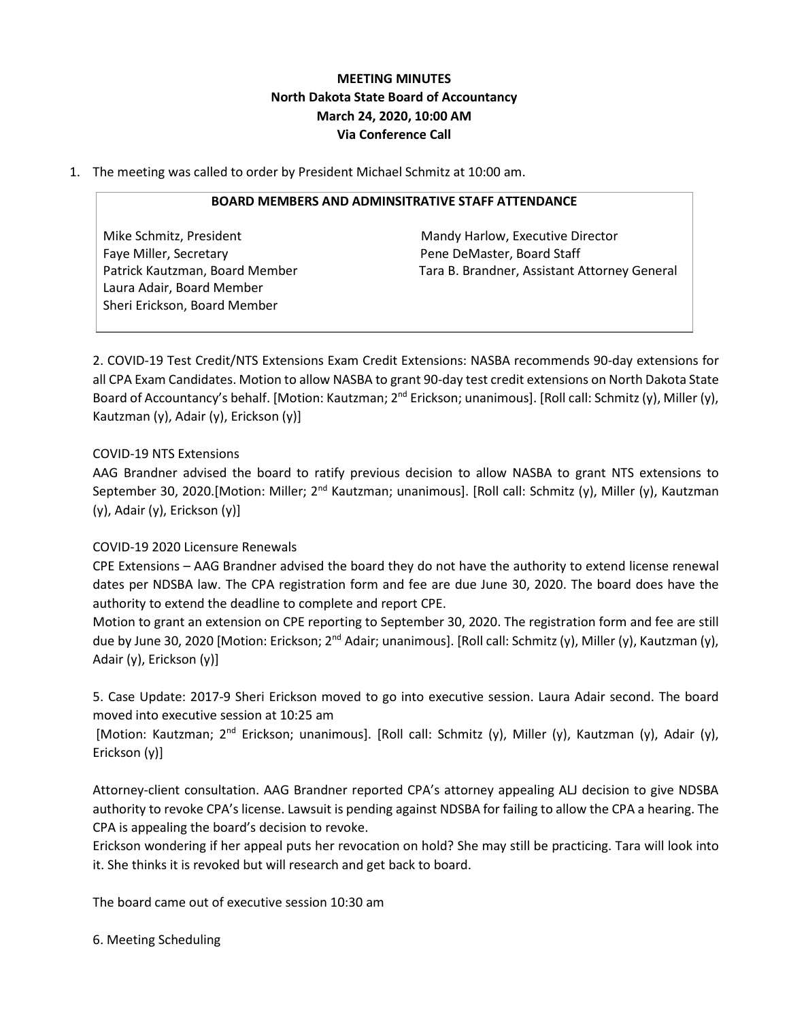# **MEETING MINUTES North Dakota State Board of Accountancy March 24, 2020, 10:00 AM Via Conference Call**

1. The meeting was called to order by President Michael Schmitz at 10:00 am.

### **BOARD MEMBERS AND ADMINSITRATIVE STAFF ATTENDANCE**

Mike Schmitz, President Mandy Harlow, Executive Director Faye Miller, Secretary **Pene DeMaster, Board Staff** Laura Adair, Board Member Sheri Erickson, Board Member

Patrick Kautzman, Board Member Tara B. Brandner, Assistant Attorney General

2. COVID-19 Test Credit/NTS Extensions Exam Credit Extensions: NASBA recommends 90-day extensions for all CPA Exam Candidates. Motion to allow NASBA to grant 90-day test credit extensions on North Dakota State Board of Accountancy's behalf. [Motion: Kautzman; 2<sup>nd</sup> Erickson; unanimous]. [Roll call: Schmitz (y), Miller (y), Kautzman (y), Adair (y), Erickson (y)]

### COVID-19 NTS Extensions

AAG Brandner advised the board to ratify previous decision to allow NASBA to grant NTS extensions to September 30, 2020.[Motion: Miller; 2<sup>nd</sup> Kautzman; unanimous]. [Roll call: Schmitz (y), Miller (y), Kautzman (y), Adair (y), Erickson (y)]

### COVID-19 2020 Licensure Renewals

CPE Extensions – AAG Brandner advised the board they do not have the authority to extend license renewal dates per NDSBA law. The CPA registration form and fee are due June 30, 2020. The board does have the authority to extend the deadline to complete and report CPE.

Motion to grant an extension on CPE reporting to September 30, 2020. The registration form and fee are still due by June 30, 2020 [Motion: Erickson; 2<sup>nd</sup> Adair; unanimous]. [Roll call: Schmitz (y), Miller (y), Kautzman (y), Adair (y), Erickson (y)]

5. Case Update: 2017-9 Sheri Erickson moved to go into executive session. Laura Adair second. The board moved into executive session at 10:25 am

[Motion: Kautzman; 2nd Erickson; unanimous]. [Roll call: Schmitz (y), Miller (y), Kautzman (y), Adair (y), Erickson (y)]

Attorney-client consultation. AAG Brandner reported CPA's attorney appealing ALJ decision to give NDSBA authority to revoke CPA's license. Lawsuit is pending against NDSBA for failing to allow the CPA a hearing. The CPA is appealing the board's decision to revoke.

Erickson wondering if her appeal puts her revocation on hold? She may still be practicing. Tara will look into it. She thinks it is revoked but will research and get back to board.

The board came out of executive session 10:30 am

6. Meeting Scheduling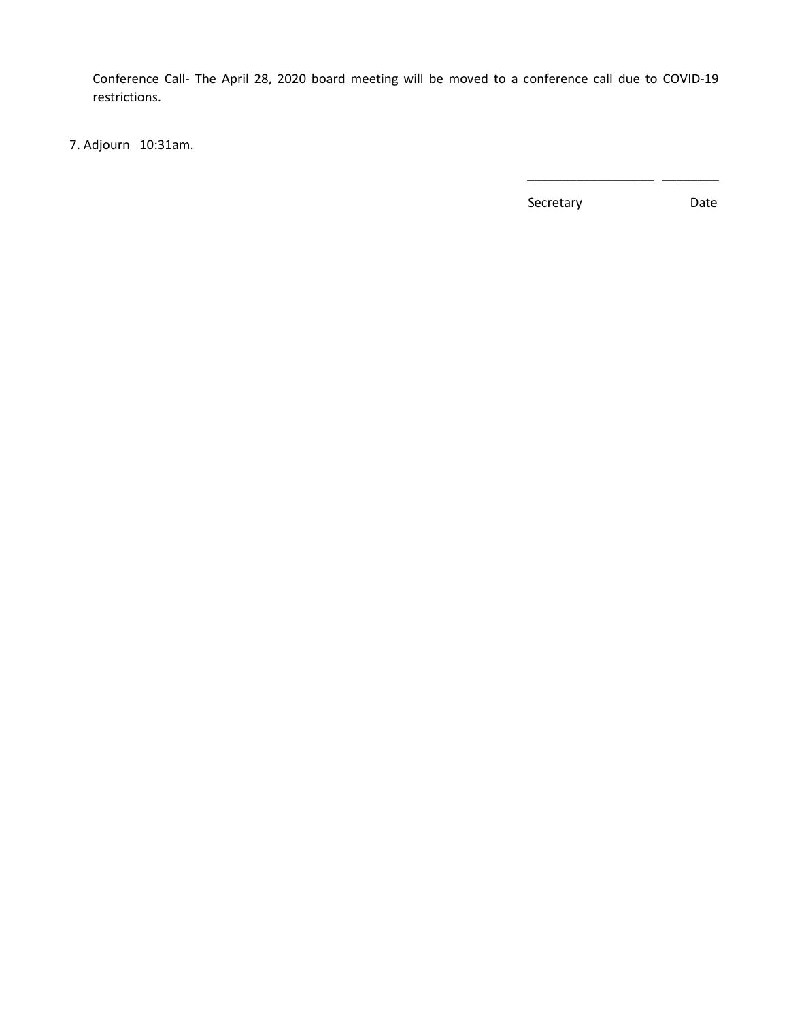Conference Call- The April 28, 2020 board meeting will be moved to a conference call due to COVID-19 restrictions.

 $\frac{1}{2}$  , and the contract of the contract of the contract of the contract of the contract of the contract of the contract of the contract of the contract of the contract of the contract of the contract of the contract

7. Adjourn 10:31am.

Secretary Date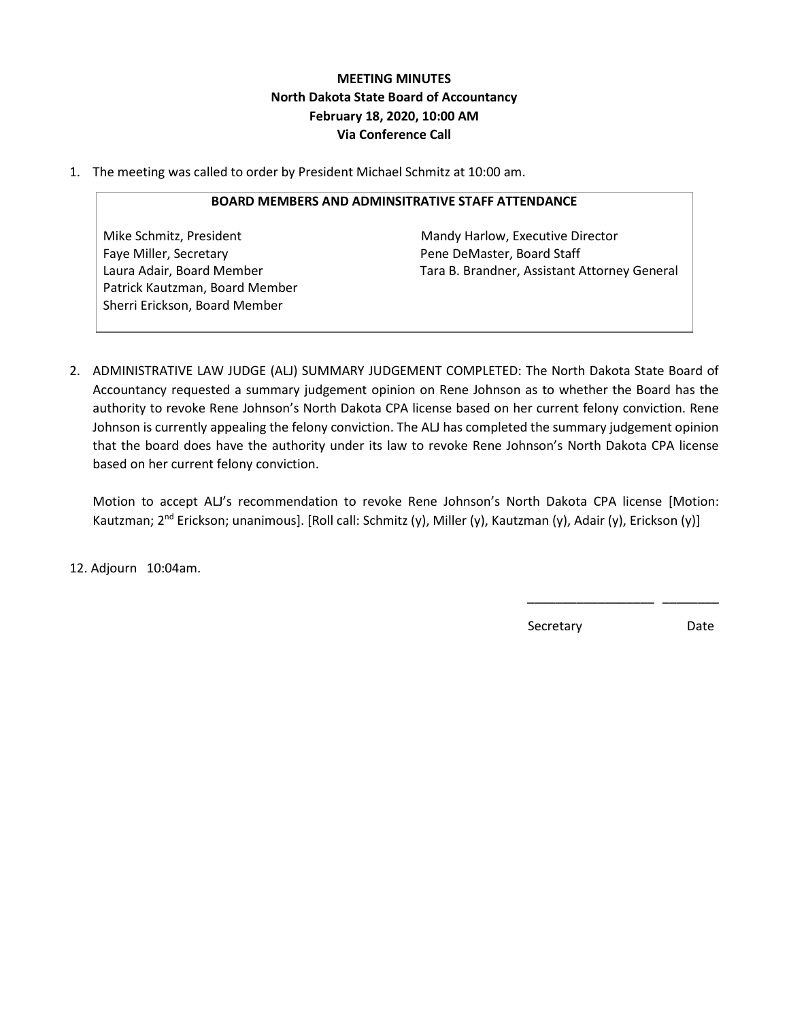# **MEETING MINUTES North Dakota State Board of Accountancy February 18, 2020, 10:00 AM Via Conference Call**

1. The meeting was called to order by President Michael Schmitz at 10:00 am.

#### **BOARD MEMBERS AND ADMINSITRATIVE STAFF ATTENDANCE**

Mike Schmitz, President Mandy Harlow, Executive Director Faye Miller, Secretary **Pene DeMaster, Board Staff** Patrick Kautzman, Board Member Sherri Erickson, Board Member

Laura Adair, Board Member Tara B. Brandner, Assistant Attorney General

2. ADMINISTRATIVE LAW JUDGE (ALJ) SUMMARY JUDGEMENT COMPLETED: The North Dakota State Board of Accountancy requested a summary judgement opinion on Rene Johnson as to whether the Board has the authority to revoke Rene Johnson's North Dakota CPA license based on her current felony conviction. Rene Johnson is currently appealing the felony conviction. The ALJ has completed the summary judgement opinion that the board does have the authority under its law to revoke Rene Johnson's North Dakota CPA license based on her current felony conviction.

Motion to accept ALJ's recommendation to revoke Rene Johnson's North Dakota CPA license [Motion: Kautzman; 2<sup>nd</sup> Erickson; unanimous]. [Roll call: Schmitz (y), Miller (y), Kautzman (y), Adair (y), Erickson (y)]

 $\overline{\phantom{a}}$  , which is a set of the set of the set of the set of the set of the set of the set of the set of the set of the set of the set of the set of the set of the set of the set of the set of the set of the set of th

12. Adjourn 10:04am.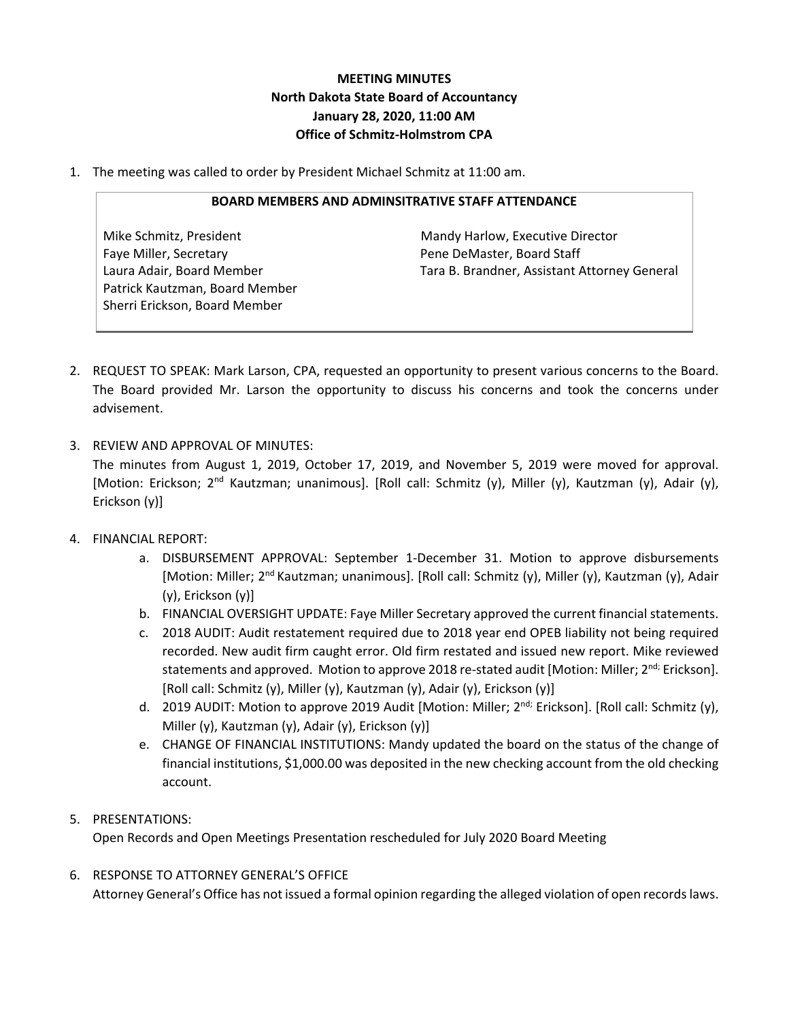# **MEETING MINUTES North Dakota State Board of Accountancy January 28, 2020, 11:00 AM Office of Schmitz-Holmstrom CPA**

1. The meeting was called to order by President Michael Schmitz at 11:00 am.

#### **BOARD MEMBERS AND ADMINSITRATIVE STAFF ATTENDANCE**

Faye Miller, Secretary **Pene DeMaster, Board Staff** Patrick Kautzman, Board Member Sherri Erickson, Board Member

Mike Schmitz, President Mandy Harlow, Executive Director Laura Adair, Board Member Tara B. Brandner, Assistant Attorney General

- 2. REQUEST TO SPEAK: Mark Larson, CPA, requested an opportunity to present various concerns to the Board. The Board provided Mr. Larson the opportunity to discuss his concerns and took the concerns under advisement.
- 3. REVIEW AND APPROVAL OF MINUTES:

The minutes from August 1, 2019, October 17, 2019, and November 5, 2019 were moved for approval. [Motion: Erickson; 2<sup>nd</sup> Kautzman; unanimous]. [Roll call: Schmitz (y), Miller (y), Kautzman (y), Adair (y), Erickson (y)]

## 4. FINANCIAL REPORT:

- a. DISBURSEMENT APPROVAL: September 1-December 31. Motion to approve disbursements [Motion: Miller; 2<sup>nd</sup> Kautzman; unanimous]. [Roll call: Schmitz (y), Miller (y), Kautzman (y), Adair (y), Erickson (y)]
- b. FINANCIAL OVERSIGHT UPDATE: Faye Miller Secretary approved the current financial statements.
- c. 2018 AUDIT: Audit restatement required due to 2018 year end OPEB liability not being required recorded. New audit firm caught error. Old firm restated and issued new report. Mike reviewed statements and approved. Motion to approve 2018 re-stated audit [Motion: Miller; 2<sup>nd;</sup> Erickson]. [Roll call: Schmitz (y), Miller (y), Kautzman (y), Adair (y), Erickson (y)]
- d. 2019 AUDIT: Motion to approve 2019 Audit [Motion: Miller; 2<sup>nd;</sup> Erickson]. [Roll call: Schmitz (y), Miller (y), Kautzman (y), Adair (y), Erickson (y)]
- e. CHANGE OF FINANCIAL INSTITUTIONS: Mandy updated the board on the status of the change of financial institutions, \$1,000.00 was deposited in the new checking account from the old checking account.

## 5. PRESENTATIONS:

Open Records and Open Meetings Presentation rescheduled for July 2020 Board Meeting

6. RESPONSE TO ATTORNEY GENERAL'S OFFICE Attorney General's Office has not issued a formal opinion regarding the alleged violation of open records laws.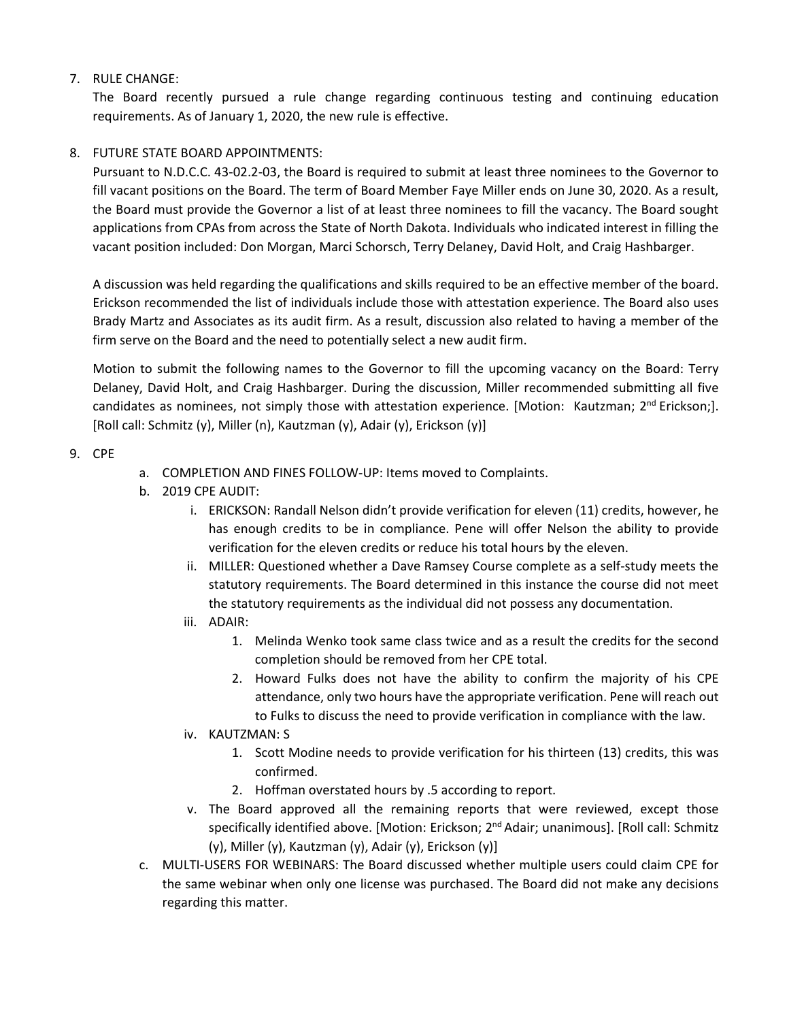### 7. RULE CHANGE:

The Board recently pursued a rule change regarding continuous testing and continuing education requirements. As of January 1, 2020, the new rule is effective.

### 8. FUTURE STATE BOARD APPOINTMENTS:

Pursuant to N.D.C.C. 43-02.2-03, the Board is required to submit at least three nominees to the Governor to fill vacant positions on the Board. The term of Board Member Faye Miller ends on June 30, 2020. As a result, the Board must provide the Governor a list of at least three nominees to fill the vacancy. The Board sought applications from CPAs from across the State of North Dakota. Individuals who indicated interest in filling the vacant position included: Don Morgan, Marci Schorsch, Terry Delaney, David Holt, and Craig Hashbarger.

A discussion was held regarding the qualifications and skills required to be an effective member of the board. Erickson recommended the list of individuals include those with attestation experience. The Board also uses Brady Martz and Associates as its audit firm. As a result, discussion also related to having a member of the firm serve on the Board and the need to potentially select a new audit firm.

Motion to submit the following names to the Governor to fill the upcoming vacancy on the Board: Terry Delaney, David Holt, and Craig Hashbarger. During the discussion, Miller recommended submitting all five candidates as nominees, not simply those with attestation experience. [Motion: Kautzman; 2<sup>nd</sup> Erickson;]. [Roll call: Schmitz (y), Miller (n), Kautzman (y), Adair (y), Erickson (y)]

### 9. CPE

- a. COMPLETION AND FINES FOLLOW-UP: Items moved to Complaints.
- b. 2019 CPE AUDIT:
	- i. ERICKSON: Randall Nelson didn't provide verification for eleven (11) credits, however, he has enough credits to be in compliance. Pene will offer Nelson the ability to provide verification for the eleven credits or reduce his total hours by the eleven.
	- ii. MILLER: Questioned whether a Dave Ramsey Course complete as a self-study meets the statutory requirements. The Board determined in this instance the course did not meet the statutory requirements as the individual did not possess any documentation.
	- iii. ADAIR:
		- 1. Melinda Wenko took same class twice and as a result the credits for the second completion should be removed from her CPE total.
		- 2. Howard Fulks does not have the ability to confirm the majority of his CPE attendance, only two hours have the appropriate verification. Pene will reach out to Fulks to discuss the need to provide verification in compliance with the law.
	- iv. KAUTZMAN: S
		- 1. Scott Modine needs to provide verification for his thirteen (13) credits, this was confirmed.
		- 2. Hoffman overstated hours by .5 according to report.
	- v. The Board approved all the remaining reports that were reviewed, except those specifically identified above. [Motion: Erickson;  $2<sup>nd</sup>$  Adair; unanimous]. [Roll call: Schmitz  $(y)$ , Miller  $(y)$ , Kautzman  $(y)$ , Adair  $(y)$ , Erickson  $(y)$ ]
- c. MULTI-USERS FOR WEBINARS: The Board discussed whether multiple users could claim CPE for the same webinar when only one license was purchased. The Board did not make any decisions regarding this matter.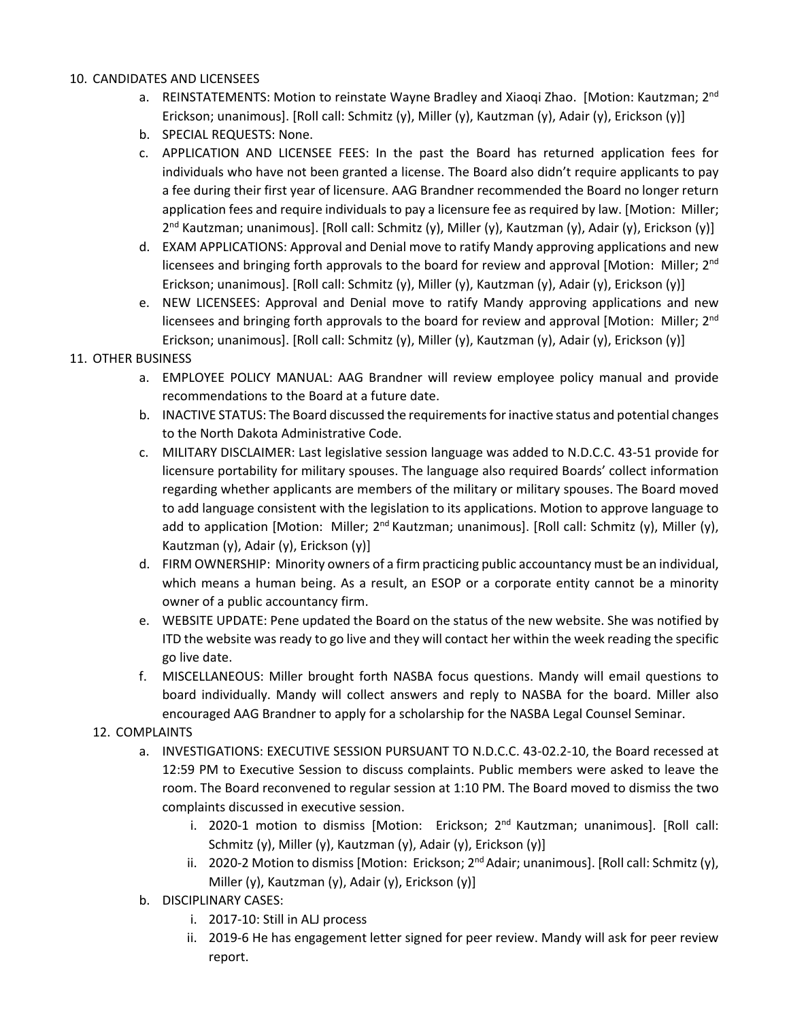### 10. CANDIDATES AND LICENSEES

- a. REINSTATEMENTS: Motion to reinstate Wayne Bradley and Xiaoqi Zhao. [Motion: Kautzman; 2<sup>nd</sup> Erickson; unanimous]. [Roll call: Schmitz (y), Miller (y), Kautzman (y), Adair (y), Erickson (y)]
- b. SPECIAL REQUESTS: None.
- c. APPLICATION AND LICENSEE FEES: In the past the Board has returned application fees for individuals who have not been granted a license. The Board also didn't require applicants to pay a fee during their first year of licensure. AAG Brandner recommended the Board no longer return application fees and require individuals to pay a licensure fee as required by law. [Motion: Miller; 2<sup>nd</sup> Kautzman; unanimous]. [Roll call: Schmitz (y), Miller (y), Kautzman (y), Adair (y), Erickson (y)]
- d. EXAM APPLICATIONS: Approval and Denial move to ratify Mandy approving applications and new licensees and bringing forth approvals to the board for review and approval [Motion: Miller;  $2<sup>nd</sup>$ Erickson; unanimous]. [Roll call: Schmitz (y), Miller (y), Kautzman (y), Adair (y), Erickson (y)]
- e. NEW LICENSEES: Approval and Denial move to ratify Mandy approving applications and new licensees and bringing forth approvals to the board for review and approval [Motion: Miller; 2<sup>nd</sup> Erickson; unanimous]. [Roll call: Schmitz (y), Miller (y), Kautzman (y), Adair (y), Erickson (y)]

### 11. OTHER BUSINESS

- a. EMPLOYEE POLICY MANUAL: AAG Brandner will review employee policy manual and provide recommendations to the Board at a future date.
- b. INACTIVE STATUS: The Board discussed the requirements for inactive status and potential changes to the North Dakota Administrative Code.
- c. MILITARY DISCLAIMER: Last legislative session language was added to N.D.C.C. 43-51 provide for licensure portability for military spouses. The language also required Boards' collect information regarding whether applicants are members of the military or military spouses. The Board moved to add language consistent with the legislation to its applications. Motion to approve language to add to application [Motion: Miller;  $2^{nd}$  Kautzman; unanimous]. [Roll call: Schmitz (y), Miller (y), Kautzman (y), Adair (y), Erickson (y)]
- d. FIRM OWNERSHIP: Minority owners of a firm practicing public accountancy must be an individual, which means a human being. As a result, an ESOP or a corporate entity cannot be a minority owner of a public accountancy firm.
- e. WEBSITE UPDATE: Pene updated the Board on the status of the new website. She was notified by ITD the website was ready to go live and they will contact her within the week reading the specific go live date.
- f. MISCELLANEOUS: Miller brought forth NASBA focus questions. Mandy will email questions to board individually. Mandy will collect answers and reply to NASBA for the board. Miller also encouraged AAG Brandner to apply for a scholarship for the NASBA Legal Counsel Seminar.

## 12. COMPLAINTS

- a. INVESTIGATIONS: EXECUTIVE SESSION PURSUANT TO N.D.C.C. 43-02.2-10, the Board recessed at 12:59 PM to Executive Session to discuss complaints. Public members were asked to leave the room. The Board reconvened to regular session at 1:10 PM. The Board moved to dismiss the two complaints discussed in executive session.
	- i. 2020-1 motion to dismiss [Motion: Erickson; 2<sup>nd</sup> Kautzman; unanimous]. [Roll call: Schmitz (y), Miller (y), Kautzman (y), Adair (y), Erickson (y)]
	- ii. 2020-2 Motion to dismiss [Motion: Erickson;  $2^{nd}$  Adair; unanimous]. [Roll call: Schmitz (y), Miller (y), Kautzman (y), Adair (y), Erickson (y)]
- b. DISCIPLINARY CASES:
	- i. 2017-10: Still in ALJ process
	- ii. 2019-6 He has engagement letter signed for peer review. Mandy will ask for peer review report.